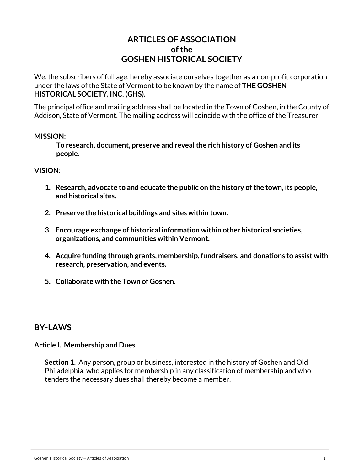# **ARTICLES OF ASSOCIATION of the GOSHEN HISTORICAL SOCIETY**

We, the subscribers of full age, hereby associate ourselves together as a non-profit corporation under the laws of the State of Vermont to be known by the name of **THE GOSHEN HISTORICAL SOCIETY, INC. (GHS).**

The principal office and mailing address shall be located in the Town of Goshen, in the County of Addison, State of Vermont. The mailing address will coincide with the office of the Treasurer.

#### **MISSION:**

 **To research, document, preserve and revealthe rich history of Goshen and its people.**

#### **VISION:**

- **1. Research, advocate to and educate the public on the history of the town, its people, and historical sites.**
- **2. Preserve the historical buildings and sites within town.**
- **3. Encourage exchange of historical information within other historical societies, organizations, and communities within Vermont.**
- **4. Acquire funding through grants, membership, fundraisers, and donations to assist with research, preservation, and events.**
- **5. Collaborate with the Town of Goshen.**

### **BY-LAWS**

#### **Article I. Membership and Dues**

**Section 1.** Any person, group or business, interested in the history of Goshen and Old Philadelphia, who applies for membership in any classification of membership and who tenders the necessary dues shall thereby become a member.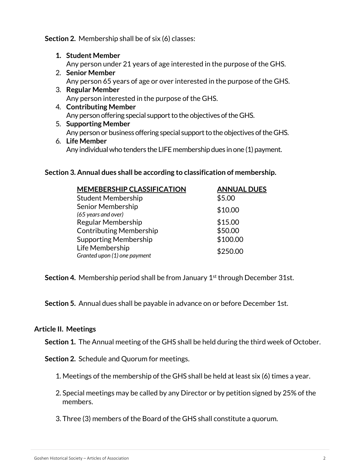**Section 2.** Membership shall be of six (6) classes:

- **1. Student Member** Any person under 21 years of age interested in the purpose of the GHS.
- 2. **Senior Member** Any person 65 years of age or over interested in the purpose of the GHS.
- 3. **Regular Member** Any person interested in the purpose of the GHS.
- 4. **Contributing Member** Any person offering special support to the objectives of the GHS.
- 5. **Supporting Member** Any person or business offering special support to the objectives of theGHS.
- 6. **Life Member** Any individual who tenders the LIFE membership dues in one (1) payment.

# **Section 3. Annual dues shall be according to classification of membership.**

| <b>MEMEBERSHIP CLASSIFICATION</b> | <b>ANNUAL DUES</b> |
|-----------------------------------|--------------------|
| <b>Student Membership</b>         | \$5.00             |
| Senior Membership<br>\$10.00      |                    |
| (65 years and over)               |                    |
| Regular Membership                | \$15.00            |
| <b>Contributing Membership</b>    | \$50.00            |
| <b>Supporting Membership</b>      | \$100.00           |
| Life Membership                   | \$250.00           |
| Granted upon (1) one payment      |                    |

**Section 4.** Membership period shall be from January 1<sup>st</sup> through December 31st.

**Section 5.** Annual dues shall be payable in advance on or before December 1st.

### **Article II. Meetings**

**Section 1.** The Annual meeting of the GHS shall be held during the third week of October.

**Section 2.** Schedule and Quorum for meetings.

1. Meetings of the membership of the GHS shall be held at least six (6) times a year.

- 2. Special meetings may be called by any Director or by petition signed by 25% of the members.
- 3. Three (3) members of the Board of the GHS shall constitute a quorum.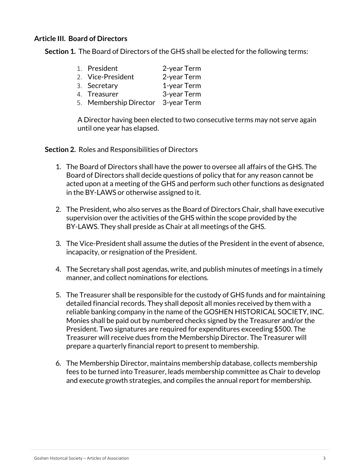### **Article III. Board of Directors**

**Section 1.** The Board of Directors of the GHS shall be elected for the following terms:

- 1. President 2-year Term
- 2. Vice-President 2-year Term
- 3. Secretary 1-year Term 4. Treasurer 3-year Term
- 
- 5. Membership Director 3-year Term

 A Director having been elected to two consecutive terms may not serve again until one year has elapsed.

**Section 2.** Roles and Responsibilities of Directors

- 1. The Board of Directors shall have the power to oversee all affairs of the GHS. The Board of Directors shall decide questions of policy that for any reason cannot be acted upon at a meeting of the GHS and perform such other functions as designated in the BY-LAWS or otherwise assigned to it.
- 2. The President, who also serves as the Board of Directors Chair, shall have executive supervision over the activities of the GHS within the scope provided by the BY-LAWS. They shall preside as Chair at all meetings of the GHS.
- 3. The Vice-President shall assume the duties of the President in the event of absence, incapacity, or resignation of the President.
- 4. The Secretary shall post agendas, write, and publish minutes of meetings in a timely manner, and collect nominations for elections.
- 5. The Treasurer shall be responsible for the custody of GHS funds and for maintaining detailed financial records. They shall deposit all monies received by them with a reliable banking company in the name of the GOSHEN HISTORICAL SOCIETY, INC. Monies shall be paid out by numbered checks signed by the Treasurer and/or the President. Two signatures are required for expenditures exceeding \$500. The Treasurer will receive dues from the Membership Director. The Treasurer will prepare a quarterly financial report to present to membership.
- 6. The Membership Director, maintains membership database, collects membership fees to be turned into Treasurer, leads membership committee as Chair to develop and execute growth strategies, and compiles the annual report for membership.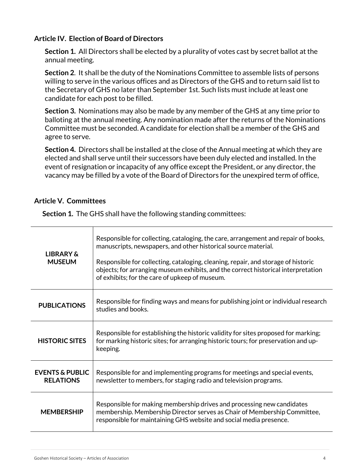### **Article IV. Election of Board of Directors**

**Section 1.** All Directors shall be elected by a plurality of votes cast by secret ballot at the annual meeting.

**Section 2**. It shall be the duty of the Nominations Committee to assemble lists of persons willing to serve in the various offices and as Directors of the GHS and to return said list to the Secretary of GHS no later than September 1st. Such lists must include at least one candidate for each post to be filled.

**Section 3.** Nominations may also be made by any member of the GHS at any time prior to balloting at the annual meeting. Any nomination made after the returns of the Nominations Committee must be seconded. A candidate for election shall be a member of the GHS and agree to serve.

**Section 4.** Directors shall be installed at the close of the Annual meeting at which they are elected and shall serve until their successors have been duly elected and installed. In the event of resignation or incapacity of any office except the President, or any director, the vacancy may be filled by a vote of the Board of Directors for the unexpired term of office,

## **Article V. Committees**

| <b>LIBRARY &amp;</b><br><b>MUSEUM</b>          | Responsible for collecting, cataloging, the care, arrangement and repair of books,<br>manuscripts, newspapers, and other historical source material.<br>Responsible for collecting, cataloging, cleaning, repair, and storage of historic<br>objects; for arranging museum exhibits, and the correct historical interpretation<br>of exhibits; for the care of upkeep of museum. |
|------------------------------------------------|----------------------------------------------------------------------------------------------------------------------------------------------------------------------------------------------------------------------------------------------------------------------------------------------------------------------------------------------------------------------------------|
| <b>PUBLICATIONS</b>                            | Responsible for finding ways and means for publishing joint or individual research<br>studies and books.                                                                                                                                                                                                                                                                         |
| <b>HISTORIC SITES</b>                          | Responsible for establishing the historic validity for sites proposed for marking;<br>for marking historic sites; for arranging historic tours; for preservation and up-<br>keeping.                                                                                                                                                                                             |
| <b>EVENTS &amp; PUBLIC</b><br><b>RELATIONS</b> | Responsible for and implementing programs for meetings and special events,<br>newsletter to members, for staging radio and television programs.                                                                                                                                                                                                                                  |
| <b>MEMBERSHIP</b>                              | Responsible for making membership drives and processing new candidates<br>membership. Membership Director serves as Chair of Membership Committee,<br>responsible for maintaining GHS website and social media presence.                                                                                                                                                         |